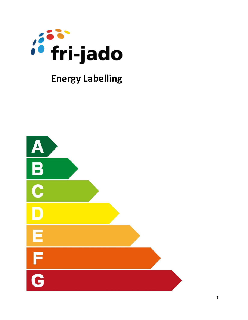

# **Energy Labelling**

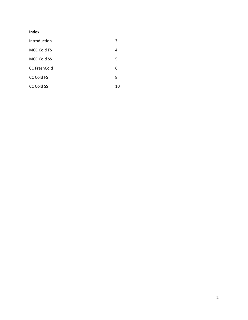## **Index**

| Introduction        | 3  |
|---------------------|----|
| MCC Cold FS         | 4  |
| MCC Cold SS         | 5  |
| <b>CC FreshCold</b> | 6  |
| <b>CC Cold FS</b>   | 8  |
| <b>CC Cold SS</b>   | 10 |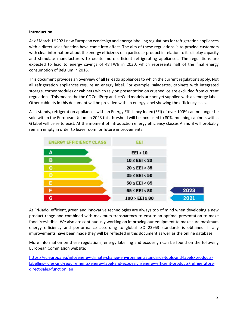#### **Introduction**

As of March 1<sup>st</sup> 2021 new European ecodesign and energy labelling regulations for refrigeration appliances with a direct sales function have come into effect. The aim of these regulations is to provide customers with clear information about the energy efficiency of a particular product in relation to its display capacity and stimulate manufacturers to create more efficient refrigerating appliances. The regulations are expected to lead to energy savings of 48 TWh in 2030, which represents half of the final energy consumption of Belgium in 2016.

This document provides an overview of all Fri-Jado appliances to which the current regulations apply. Not all refrigeration appliances require an energy label. For example, saladettes, cabinets with integrated storage, corner modules or cabinets which rely on presentation on crushed ice are excluded from current regulations. This means the the CC ColdPrep and IceCold models are not yet supplied with an energy label. Other cabinets in this document will be provided with an energy label showing the efficiency class.

As it stands, refrigeration appliances with an Energy Efficiency Index (EEI) of over 100% can no longer be sold within the European Union. In 2023 this threshold will be increased to 80%, meaning cabinets with a G label will ceise to exist. At the moment of introduction energy efficiency classes A and B will probably remain empty in order to leave room for future improvements.



At Fri-Jado, efficient, green and innovative technologies are always top of mind when developing a new product range and combined with maximum transparency to ensure an optimal presentation to make food irresistible. We also are continuously working on improving our equipment to make sure maximum energy efficiency and performance according to global ISO 23953 standards is obtained. If any improvements have been made they will be reflected in this document as well as the online database.

More information on these regulations, energy labelling and ecodesign can be found on the following European Commission website:

[https://ec.europa.eu/info/energy-climate-change-environment/standards-tools-and-labels/products](https://ec.europa.eu/info/energy-climate-change-environment/standards-tools-and-labels/products-labelling-rules-and-requirements/energy-label-and-ecodesign/energy-efficient-products/refrigerators-direct-sales-function_en)[labelling-rules-and-requirements/energy-label-and-ecodesign/energy-efficient-products/refrigerators](https://ec.europa.eu/info/energy-climate-change-environment/standards-tools-and-labels/products-labelling-rules-and-requirements/energy-label-and-ecodesign/energy-efficient-products/refrigerators-direct-sales-function_en)[direct-sales-function\\_en](https://ec.europa.eu/info/energy-climate-change-environment/standards-tools-and-labels/products-labelling-rules-and-requirements/energy-label-and-ecodesign/energy-efficient-products/refrigerators-direct-sales-function_en)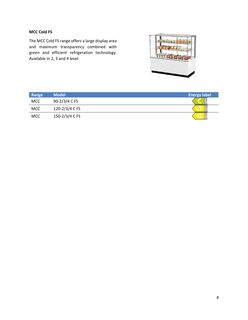### **MCC Cold FS**

The MCC Cold FS range offers a large display area and maximum transparency combined with green and efficient refrigeration technology. Available in 2, 3 and 4 level.

![](_page_3_Picture_2.jpeg)

| Range      | <b>Model</b>   | <b>Energy label</b> |
|------------|----------------|---------------------|
| <b>MCC</b> | 90-2/3/4 C FS  |                     |
| <b>MCC</b> | 120-2/3/4 C FS | G                   |
| <b>MCC</b> | 150-2/3/4 C FS | lċ                  |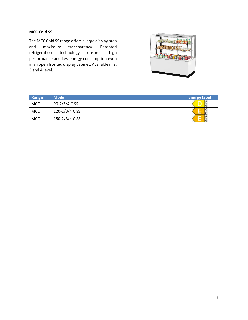### **MCC Cold SS**

The MCC Cold SS range offers a large display area and maximum transparency. Patented refrigeration technology ensures high performance and low energy consumption even in an open fronted display cabinet. Available in 2, 3 and 4 level.

![](_page_4_Figure_2.jpeg)

| Range      | <b>Model</b>   | <b>Energy label</b> |
|------------|----------------|---------------------|
| <b>MCC</b> | 90-2/3/4 C SS  | lG                  |
| <b>MCC</b> | 120-2/3/4 C SS | lG                  |
| <b>MCC</b> | 150-2/3/4 C SS |                     |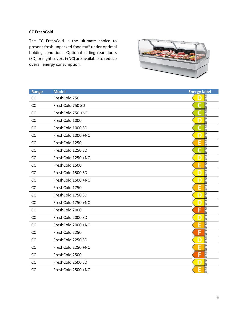#### **CC FreshCold**

The CC FreshCold is the ultimate choice to present fresh unpacked foodstuff under optimal holding conditions. Optional sliding rear doors (SD) or night covers (+NC) are available to reduce overall energy consumption.

![](_page_5_Picture_2.jpeg)

| Range     | <b>Model</b>       | <b>Energy label</b> |
|-----------|--------------------|---------------------|
| CC        | FreshCold 750      | A<br>G              |
| <b>CC</b> | FreshCold 750 SD   | $G+2$               |
| CC        | FreshCold 750 +NC  | $G+2$               |
| CC        | FreshCold 1000     | $\frac{A}{G}$       |
| CC        | FreshCold 1000 SD  | $\frac{A}{G}$       |
| CC        | FreshCold 1000 +NC | $\frac{A}{G}$       |
| CC        | FreshCold 1250     | $\frac{A}{G}$       |
| CC        | FreshCold 1250 SD  | $G + D$             |
| CC        | FreshCold 1250 +NC | $\frac{A}{G}$       |
| CC        | FreshCold 1500     | $\frac{A}{G}$       |
| CC        | FreshCold 1500 SD  | $G + D$             |
| <b>CC</b> | FreshCold 1500 +NC | $\frac{A}{G}$       |
| CC        | FreshCold 1750     | $\frac{A}{G}$       |
| CC        | FreshCold 1750 SD  | $\frac{A}{G}$       |
| CC        | FreshCold 1750 +NC | $\frac{A}{G}$       |
| CC        | FreshCold 2000     | $\frac{A}{G}$       |
| CC        | FreshCold 2000 SD  | $\frac{A}{G}$       |
| CC        | FreshCold 2000 +NC | $\frac{A}{G}$       |
| CC        | FreshCold 2250     | $rac{A}{G}$<br>F    |
| CC        | FreshCold 2250 SD  | $\frac{A}{G}$       |
| CC        | FreshCold 2250 +NC | $\frac{A}{G}$       |
| <b>CC</b> | FreshCold 2500     | $\frac{A}{G}$       |
| CC        | FreshCold 2500 SD  | $\frac{A}{G}$       |
| CC        | FreshCold 2500 +NC | $\frac{A}{G}$       |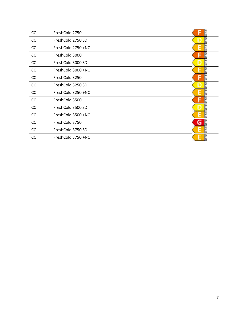| CC | FreshCold 2750     |   |
|----|--------------------|---|
| CC | FreshCold 2750 SD  |   |
| cc | FreshCold 2750 +NC |   |
| CC | FreshCold 3000     |   |
| CC | FreshCold 3000 SD  |   |
| CC | FreshCold 3000 +NC |   |
| CC | FreshCold 3250     |   |
| CC | FreshCold 3250 SD  |   |
| CC | FreshCold 3250 +NC | G |
| CC | FreshCold 3500     |   |
| CC | FreshCold 3500 SD  | G |
| CC | FreshCold 3500 +NC |   |
| CC | FreshCold 3750     | G |
| CC | FreshCold 3750 SD  |   |
| CC | FreshCold 3750 +NC |   |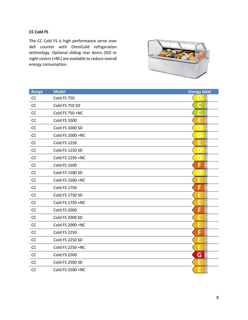## **CC Cold FS**

The CC Cold FS is high performance serve over deli counter with OmniCold refrigeration technology. Optional sliding rear doors (SD) or night covers (+NC) are available to reduce overall energy consumption.

![](_page_7_Picture_2.jpeg)

| Range     | <b>Model</b>        | <b>Energy label</b> |
|-----------|---------------------|---------------------|
| CC        | Cold FS 750         | å                   |
| CC        | Cold FS 750 SD      | $\frac{A}{C}$       |
| CC        | Cold FS 750 +NC     | $\frac{A}{G}$       |
| CC        | <b>Cold FS 1000</b> | $\frac{A}{C}$       |
| CC        | Cold FS 1000 SD     | $\frac{A}{G}$       |
| CC        | Cold FS 1000 +NC    | $\frac{A}{G}$       |
| CC        | <b>Cold FS 1250</b> | $\frac{A}{C}$       |
| CC        | Cold FS 1250 SD     | $G + D$             |
| CC        | Cold FS 1250 +NC    | $G + D$             |
| CC        | <b>Cold FS 1500</b> | $\frac{A}{G}$       |
| CC        | Cold FS 1500 SD     | $\frac{A}{G}$       |
| <b>CC</b> | Cold FS 1500 +NC    | A <sub>t</sub>      |
| CC        | <b>Cold FS 1750</b> | $\frac{A}{G}$       |
| CC        | Cold FS 1750 SD     | $\frac{A}{G}$       |
| CC        | Cold FS 1750 +NC    | $\frac{A}{G}$       |
| CC        | <b>Cold FS 2000</b> | $\frac{A}{G}$       |
| CC        | Cold FS 2000 SD     | $\frac{A}{G}$       |
| CC        | Cold FS 2000 +NC    | $G + D$             |
| CC        | <b>Cold FS 2250</b> | $rac{A}{G}$<br>F    |
| CC        | Cold FS 2250 SD     | $rac{A}{G}$         |
| CC        | Cold FS 2250 +NC    | $rac{A}{G}$         |
| <b>CC</b> | <b>Cold FS 2500</b> | $rac{A}{G}$<br>G    |
| CC        | Cold FS 2500 SD     | $\overline{A}$      |
| <b>CC</b> | Cold FS 2500 +NC    | $\frac{A}{G}$<br>Е  |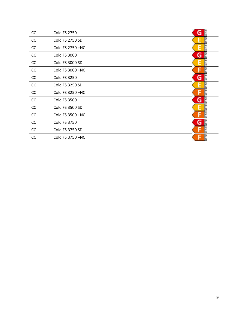| CC | <b>Cold FS 2750</b> | G                  |
|----|---------------------|--------------------|
| CC | Cold FS 2750 SD     | $\frac{A}{G}$      |
| CC | Cold FS 2750 +NC    |                    |
| CC | <b>Cold FS 3000</b> | G                  |
| CC | Cold FS 3000 SD     |                    |
| CC | Cold FS 3000 +NC    | A<br>G             |
| CC | <b>Cold FS 3250</b> | G                  |
| cc | Cold FS 3250 SD     | $\frac{A}{G}$      |
| CC | Cold FS 3250 +NC    | A<br>G             |
| CC | <b>Cold FS 3500</b> | $\frac{4}{6}$<br>G |
| CC | Cold FS 3500 SD     | A<br>G             |
| CC | Cold FS 3500 +NC    | A<br>G             |
| CC | <b>Cold FS 3750</b> | $\frac{A}{G}$<br>G |
| CC | Cold FS 3750 SD     | $\frac{A}{G}$      |
| CC | Cold FS 3750 +NC    | $\frac{A}{G}$      |